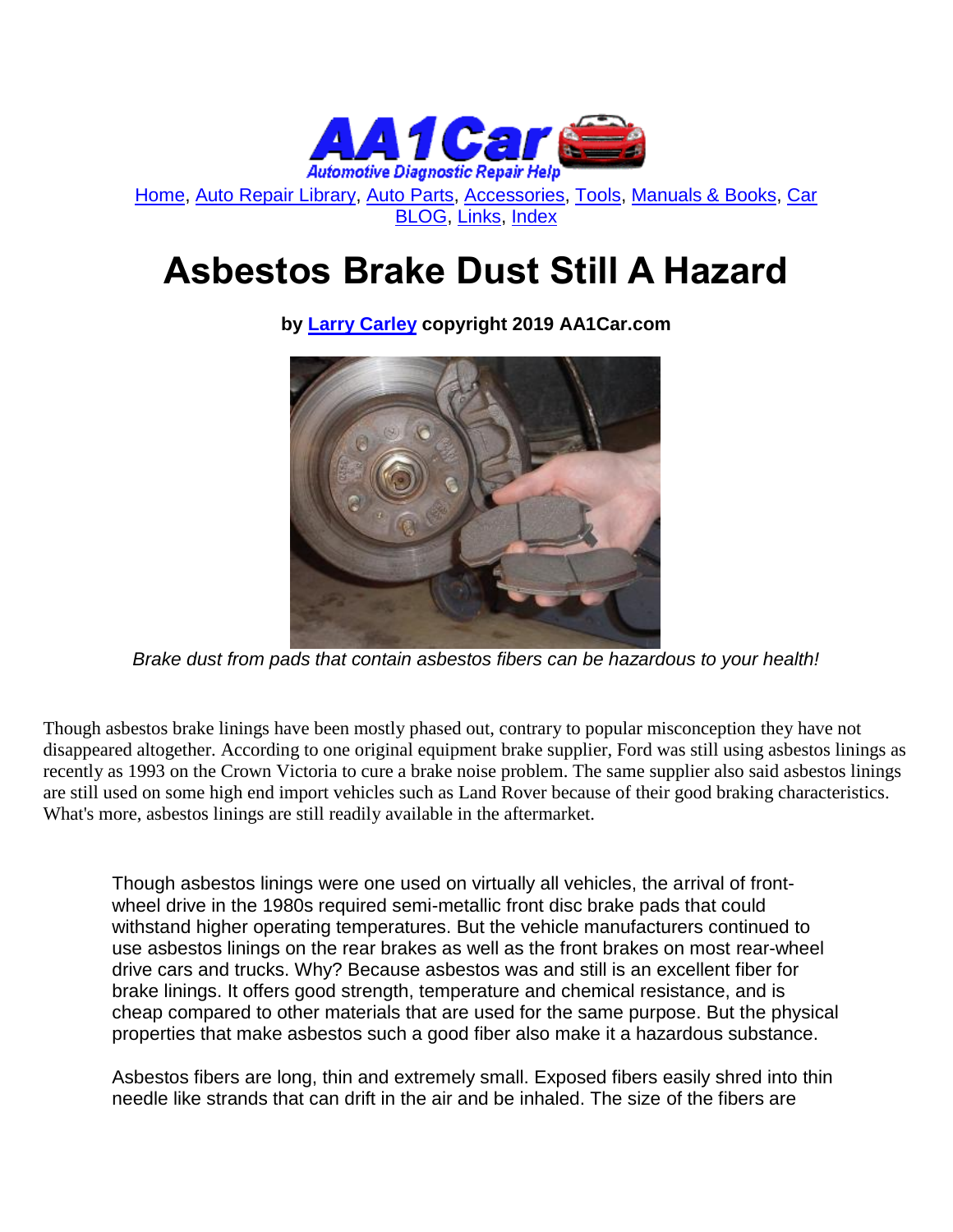

[Home,](http://www.aa1car.com/) [Auto Repair Library,](http://www.aa1car.com/library.htm) [Auto Parts,](http://www.aa1car.com/links_parts.htm) [Accessories,](http://www.aa1car.com/links_accessories.htm) [Tools,](http://www.aa1car.com/links_tools.htm) [Manuals & Books,](http://www.aa1car.com/links_books.htm) [Car](http://www.aa1car.com/blog/blog.htm)  [BLOG,](http://www.aa1car.com/blog/blog.htm) [Links,](http://www.aa1car.com/links.htm) [Index](http://www.aa1car.com/index_alphabetical.htm)

## **Asbestos Brake Dust Still A Hazard**

**by [Larry Carley](https://www.aa1car.com/larrypage/larrycarley_photos.htm) copyright 2019 AA1Car.com**

*Brake dust from pads that contain asbestos fibers can be hazardous to your health!*

Though asbestos brake linings have been mostly phased out, contrary to popular misconception they have not disappeared altogether. According to one original equipment brake supplier, Ford was still using asbestos linings as recently as 1993 on the Crown Victoria to cure a brake noise problem. The same supplier also said asbestos linings are still used on some high end import vehicles such as Land Rover because of their good braking characteristics. What's more, asbestos linings are still readily available in the aftermarket.

Though asbestos linings were one used on virtually all vehicles, the arrival of frontwheel drive in the 1980s required semi-metallic front disc brake pads that could withstand higher operating temperatures. But the vehicle manufacturers continued to use asbestos linings on the rear brakes as well as the front brakes on most rear-wheel drive cars and trucks. Why? Because asbestos was and still is an excellent fiber for brake linings. It offers good strength, temperature and chemical resistance, and is cheap compared to other materials that are used for the same purpose. But the physical properties that make asbestos such a good fiber also make it a hazardous substance.

Asbestos fibers are long, thin and extremely small. Exposed fibers easily shred into thin needle like strands that can drift in the air and be inhaled. The size of the fibers are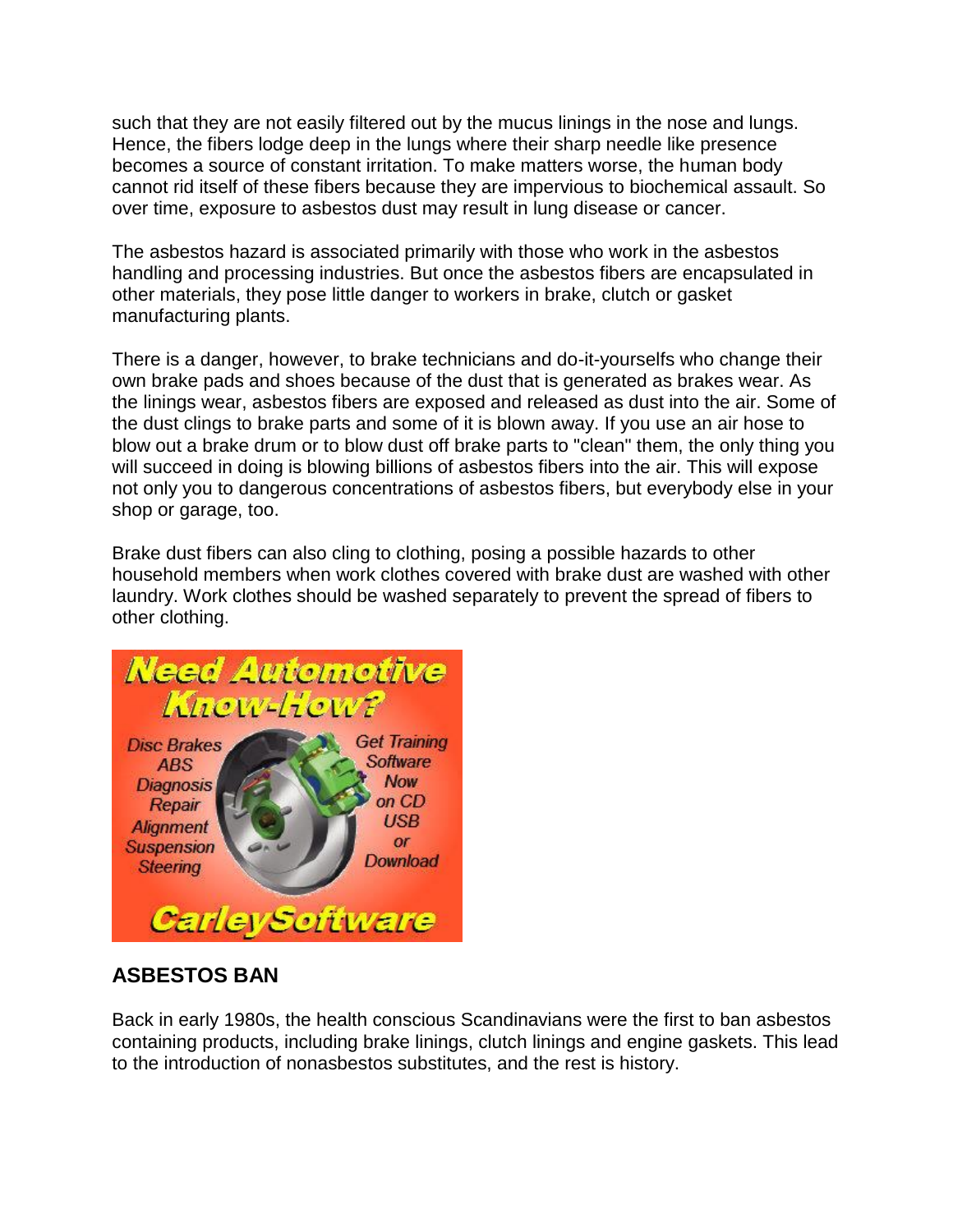such that they are not easily filtered out by the mucus linings in the nose and lungs. Hence, the fibers lodge deep in the lungs where their sharp needle like presence becomes a source of constant irritation. To make matters worse, the human body cannot rid itself of these fibers because they are impervious to biochemical assault. So over time, exposure to asbestos dust may result in lung disease or cancer.

The asbestos hazard is associated primarily with those who work in the asbestos handling and processing industries. But once the asbestos fibers are encapsulated in other materials, they pose little danger to workers in brake, clutch or gasket manufacturing plants.

There is a danger, however, to brake technicians and do-it-yourselfs who change their own brake pads and shoes because of the dust that is generated as brakes wear. As the linings wear, asbestos fibers are exposed and released as dust into the air. Some of the dust clings to brake parts and some of it is blown away. If you use an air hose to blow out a brake drum or to blow dust off brake parts to "clean" them, the only thing you will succeed in doing is blowing billions of asbestos fibers into the air. This will expose not only you to dangerous concentrations of asbestos fibers, but everybody else in your shop or garage, too.

Brake dust fibers can also cling to clothing, posing a possible hazards to other household members when work clothes covered with brake dust are washed with other laundry. Work clothes should be washed separately to prevent the spread of fibers to other clothing.



## **ASBESTOS BAN**

Back in early 1980s, the health conscious Scandinavians were the first to ban asbestos containing products, including brake linings, clutch linings and engine gaskets. This lead to the introduction of nonasbestos substitutes, and the rest is history.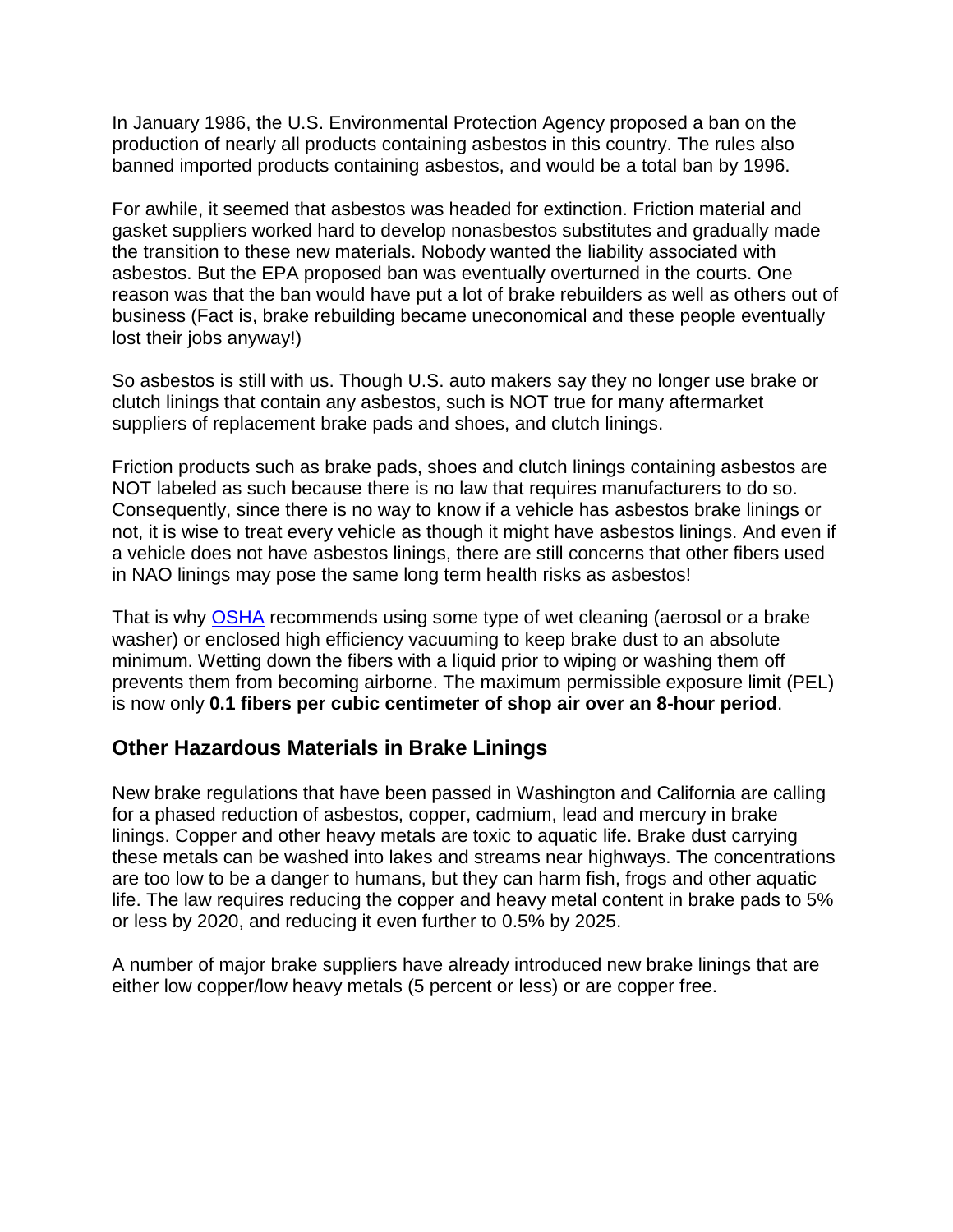In January 1986, the U.S. Environmental Protection Agency proposed a ban on the production of nearly all products containing asbestos in this country. The rules also banned imported products containing asbestos, and would be a total ban by 1996.

For awhile, it seemed that asbestos was headed for extinction. Friction material and gasket suppliers worked hard to develop nonasbestos substitutes and gradually made the transition to these new materials. Nobody wanted the liability associated with asbestos. But the EPA proposed ban was eventually overturned in the courts. One reason was that the ban would have put a lot of brake rebuilders as well as others out of business (Fact is, brake rebuilding became uneconomical and these people eventually lost their jobs anyway!)

So asbestos is still with us. Though U.S. auto makers say they no longer use brake or clutch linings that contain any asbestos, such is NOT true for many aftermarket suppliers of replacement brake pads and shoes, and clutch linings.

Friction products such as brake pads, shoes and clutch linings containing asbestos are NOT labeled as such because there is no law that requires manufacturers to do so. Consequently, since there is no way to know if a vehicle has asbestos brake linings or not, it is wise to treat every vehicle as though it might have asbestos linings. And even if a vehicle does not have asbestos linings, there are still concerns that other fibers used in NAO linings may pose the same long term health risks as asbestos!

That is why [OSHA](http://www.osha.gov/dts/shib/shib072606.html) recommends using some type of wet cleaning (aerosol or a brake washer) or enclosed high efficiency vacuuming to keep brake dust to an absolute minimum. Wetting down the fibers with a liquid prior to wiping or washing them off prevents them from becoming airborne. The maximum permissible exposure limit (PEL) is now only **0.1 fibers per cubic centimeter of shop air over an 8-hour period**.

## **Other Hazardous Materials in Brake Linings**

New brake regulations that have been passed in Washington and California are calling for a phased reduction of asbestos, copper, cadmium, lead and mercury in brake linings. Copper and other heavy metals are toxic to aquatic life. Brake dust carrying these metals can be washed into lakes and streams near highways. The concentrations are too low to be a danger to humans, but they can harm fish, frogs and other aquatic life. The law requires reducing the copper and heavy metal content in brake pads to 5% or less by 2020, and reducing it even further to 0.5% by 2025.

A number of major brake suppliers have already introduced new brake linings that are either low copper/low heavy metals (5 percent or less) or are copper free.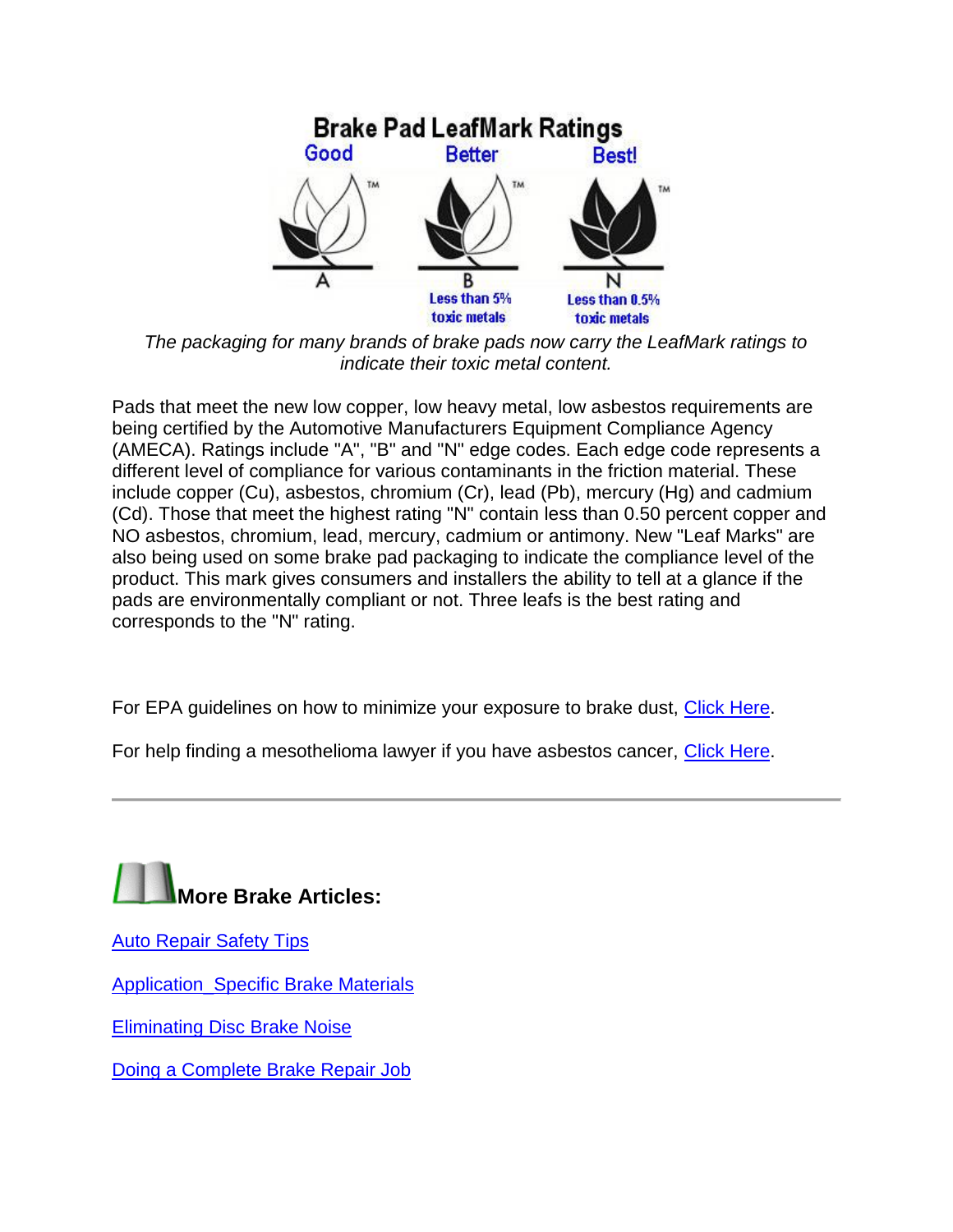

*The packaging for many brands of brake pads now carry the LeafMark ratings to indicate their toxic metal content.*

Pads that meet the new low copper, low heavy metal, low asbestos requirements are being certified by the Automotive Manufacturers Equipment Compliance Agency (AMECA). Ratings include "A", "B" and "N" edge codes. Each edge code represents a different level of compliance for various contaminants in the friction material. These include copper (Cu), asbestos, chromium (Cr), lead (Pb), mercury (Hg) and cadmium (Cd). Those that meet the highest rating "N" contain less than 0.50 percent copper and NO asbestos, chromium, lead, mercury, cadmium or antimony. New "Leaf Marks" are also being used on some brake pad packaging to indicate the compliance level of the product. This mark gives consumers and installers the ability to tell at a glance if the pads are environmentally compliant or not. Three leafs is the best rating and corresponds to the "N" rating.

For EPA guidelines on how to minimize your exposure to brake dust, [Click Here.](https://www.epa.gov/asbestos)

For help finding a mesothelioma lawyer if you have asbestos cancer, [Click Here.](https://www.mesotheliomalawyercenter.org/mesothelioma-lawyer/)



[Auto Repair Safety Tips](http://www.aa1car.com/library/repair_safety_tips.htm)

[Application\\_Specific Brake Materials](http://www.aa1car.com/library/brakes1a.htm)

[Eliminating Disc Brake Noise](http://www.aa1car.com/library/tr996.htm)

[Doing a Complete Brake Repair Job](http://www.aa1car.com/library/brakefix.htm)